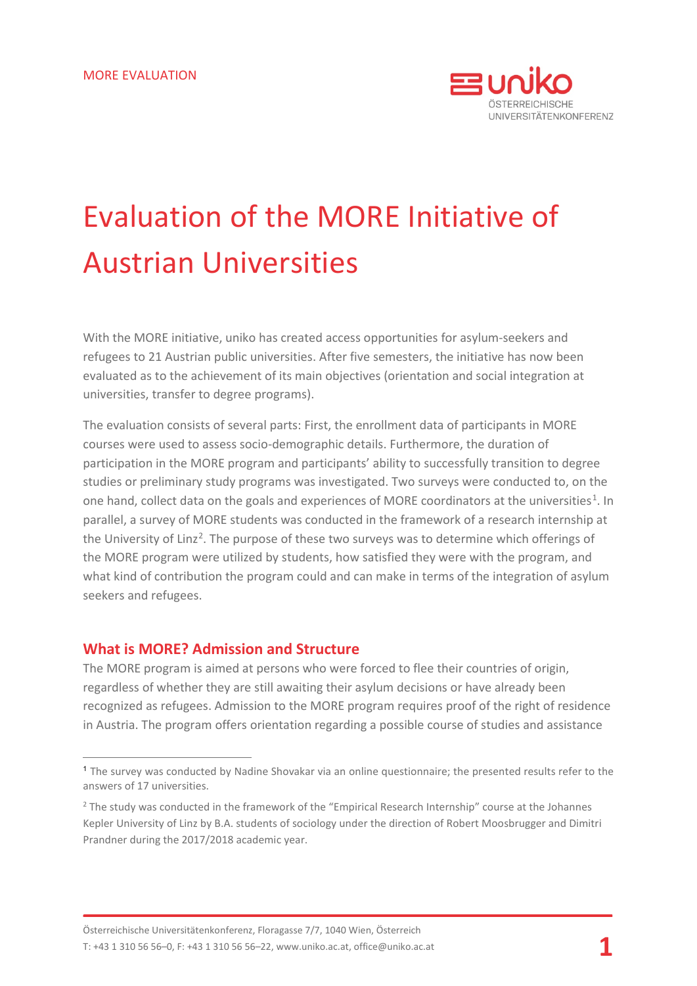

# Evaluation of the MORE Initiative of Austrian Universities

With the MORE initiative, uniko has created access opportunities for asylum-seekers and refugees to 21 Austrian public universities. After five semesters, the initiative has now been evaluated as to the achievement of its main objectives (orientation and social integration at universities, transfer to degree programs).

The evaluation consists of several parts: First, the enrollment data of participants in MORE courses were used to assess socio-demographic details. Furthermore, the duration of participation in the MORE program and participants' ability to successfully transition to degree studies or preliminary study programs was investigated. Two surveys were conducted to, on the one hand, collect data on the goals and experiences of MORE coordinators at the universities<sup>[1](#page-0-0)</sup>. In parallel, a survey of MORE students was conducted in the framework of a research internship at the University of Linz<sup>[2](#page-0-1)</sup>. The purpose of these two surveys was to determine which offerings of the MORE program were utilized by students, how satisfied they were with the program, and what kind of contribution the program could and can make in terms of the integration of asylum seekers and refugees.

## **What is MORE? Admission and Structure**

 $\overline{a}$ 

The MORE program is aimed at persons who were forced to flee their countries of origin, regardless of whether they are still awaiting their asylum decisions or have already been recognized as refugees. Admission to the MORE program requires proof of the right of residence in Austria. The program offers orientation regarding a possible course of studies and assistance

<span id="page-0-0"></span><sup>1</sup> The survey was conducted by Nadine Shovakar via an online questionnaire; the presented results refer to the answers of 17 universities.

<span id="page-0-1"></span><sup>&</sup>lt;sup>2</sup> The study was conducted in the framework of the "Empirical Research Internship" course at the Johannes Kepler University of Linz by B.A. students of sociology under the direction of Robert Moosbrugger and Dimitri Prandner during the 2017/2018 academic year.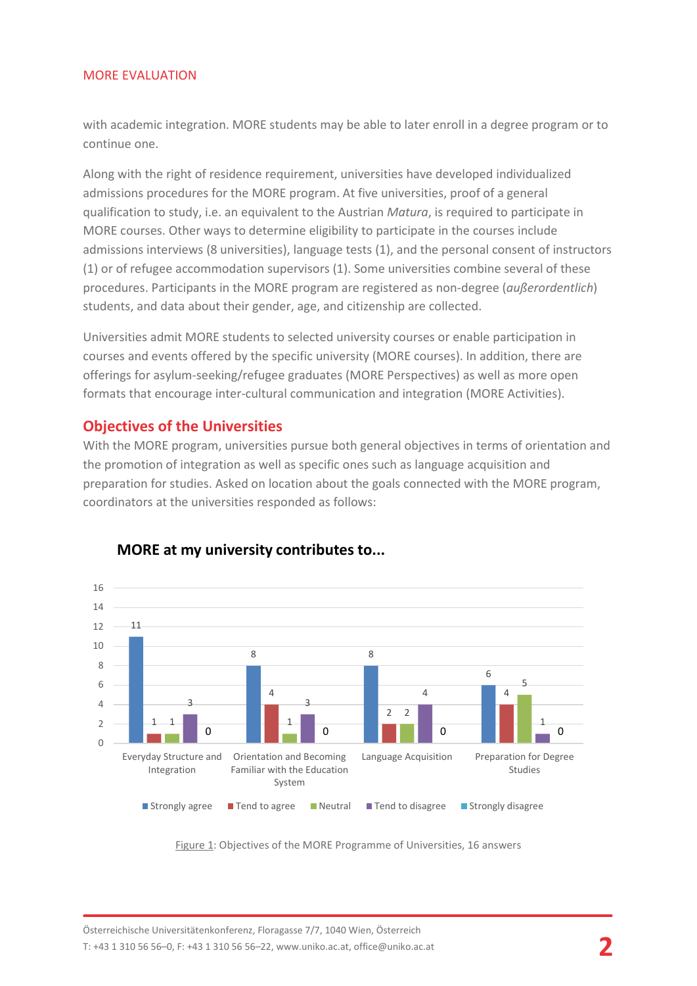with academic integration. MORE students may be able to later enroll in a degree program or to continue one.

Along with the right of residence requirement, universities have developed individualized admissions procedures for the MORE program. At five universities, proof of a general qualification to study, i.e. an equivalent to the Austrian *Matura*, is required to participate in MORE courses. Other ways to determine eligibility to participate in the courses include admissions interviews (8 universities), language tests (1), and the personal consent of instructors (1) or of refugee accommodation supervisors (1). Some universities combine several of these procedures. Participants in the MORE program are registered as non-degree (*außerordentlich*) students, and data about their gender, age, and citizenship are collected.

Universities admit MORE students to selected university courses or enable participation in courses and events offered by the specific university (MORE courses). In addition, there are offerings for asylum-seeking/refugee graduates (MORE Perspectives) as well as more open formats that encourage inter-cultural communication and integration (MORE Activities).

## **Objectives of the Universities**

With the MORE program, universities pursue both general objectives in terms of orientation and the promotion of integration as well as specific ones such as language acquisition and preparation for studies. Asked on location about the goals connected with the MORE program, coordinators at the universities responded as follows:



#### **MORE at my university contributes to...**

Figure 1: Objectives of the MORE Programme of Universities, 16 answers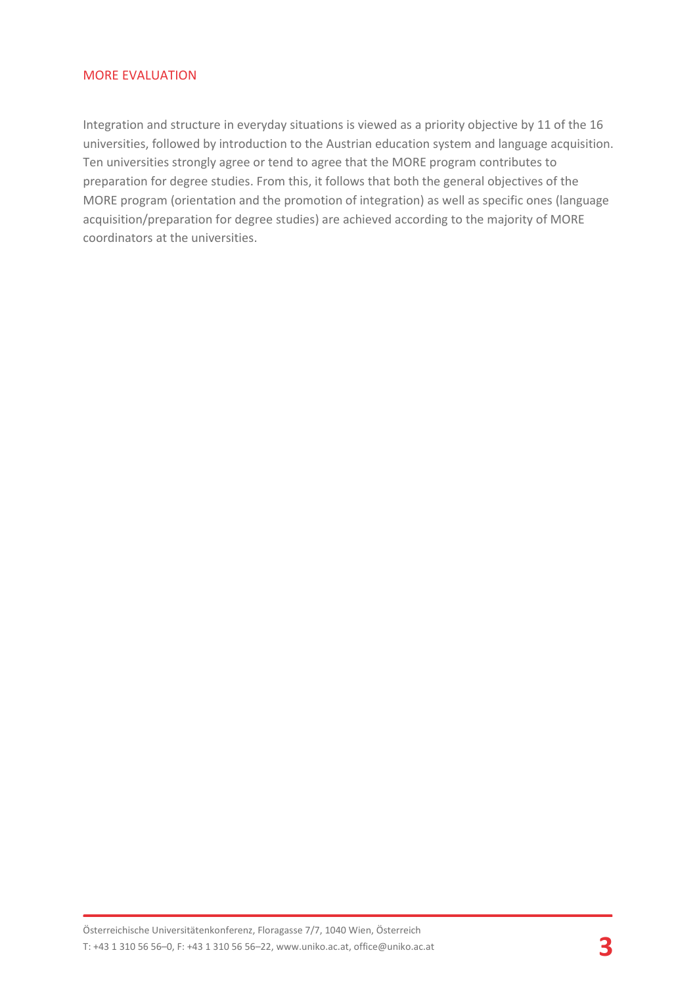Integration and structure in everyday situations is viewed as a priority objective by 11 of the 16 universities, followed by introduction to the Austrian education system and language acquisition. Ten universities strongly agree or tend to agree that the MORE program contributes to preparation for degree studies. From this, it follows that both the general objectives of the MORE program (orientation and the promotion of integration) as well as specific ones (language acquisition/preparation for degree studies) are achieved according to the majority of MORE coordinators at the universities.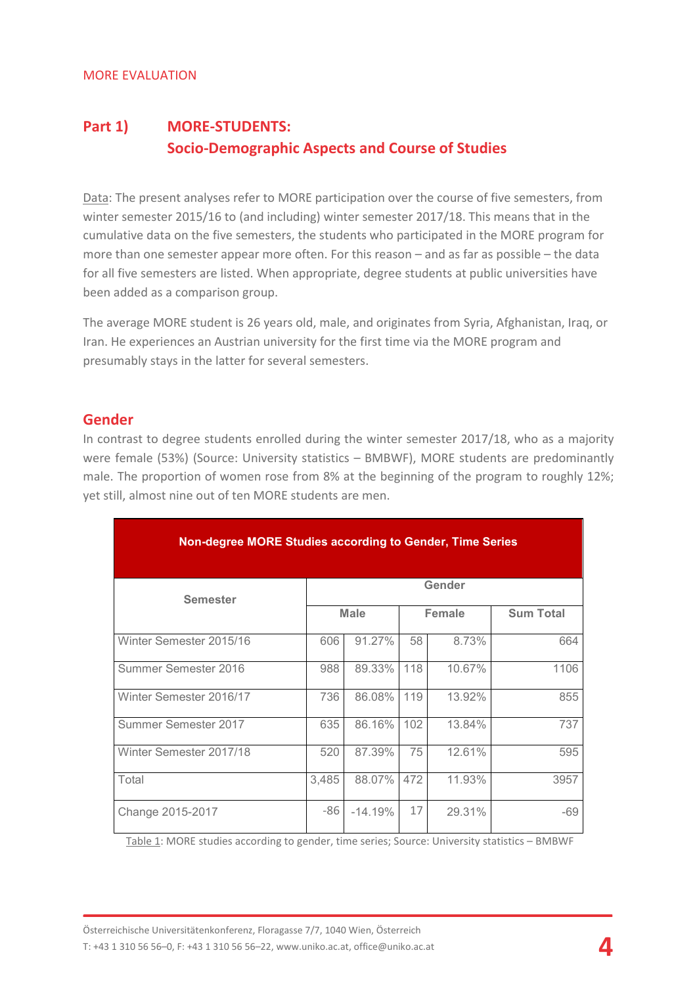## **Part 1) MORE-STUDENTS: Socio-Demographic Aspects and Course of Studies**

Data: The present analyses refer to MORE participation over the course of five semesters, from winter semester 2015/16 to (and including) winter semester 2017/18. This means that in the cumulative data on the five semesters, the students who participated in the MORE program for more than one semester appear more often. For this reason – and as far as possible – the data for all five semesters are listed. When appropriate, degree students at public universities have been added as a comparison group.

The average MORE student is 26 years old, male, and originates from Syria, Afghanistan, Iraq, or Iran. He experiences an Austrian university for the first time via the MORE program and presumably stays in the latter for several semesters.

## **Gender**

In contrast to degree students enrolled during the winter semester 2017/18, who as a majority were female (53%) (Source: University statistics – BMBWF), MORE students are predominantly male. The proportion of women rose from 8% at the beginning of the program to roughly 12%; yet still, almost nine out of ten MORE students are men.

| Non-degree MORE Studies according to Gender, Time Series |             |           |               |        |                  |  |  |
|----------------------------------------------------------|-------------|-----------|---------------|--------|------------------|--|--|
| <b>Semester</b>                                          | Gender      |           |               |        |                  |  |  |
|                                                          | <b>Male</b> |           | <b>Female</b> |        | <b>Sum Total</b> |  |  |
| Winter Semester 2015/16                                  | 606         | 91.27%    | 58            | 8.73%  | 664              |  |  |
| Summer Semester 2016                                     | 988         | 89.33%    | 118           | 10.67% | 1106             |  |  |
| Winter Semester 2016/17                                  | 736         | 86.08%    | 119           | 13.92% | 855              |  |  |
| Summer Semester 2017                                     | 635         | 86.16%    | 102           | 13.84% | 737              |  |  |
| Winter Semester 2017/18                                  | 520         | 87.39%    | 75            | 12.61% | 595              |  |  |
| Total                                                    | 3,485       | 88.07%    | 472           | 11.93% | 3957             |  |  |
| Change 2015-2017                                         | -86         | $-14.19%$ | 17            | 29.31% | $-69$            |  |  |

Table 1: MORE studies according to gender, time series; Source: University statistics – BMBWF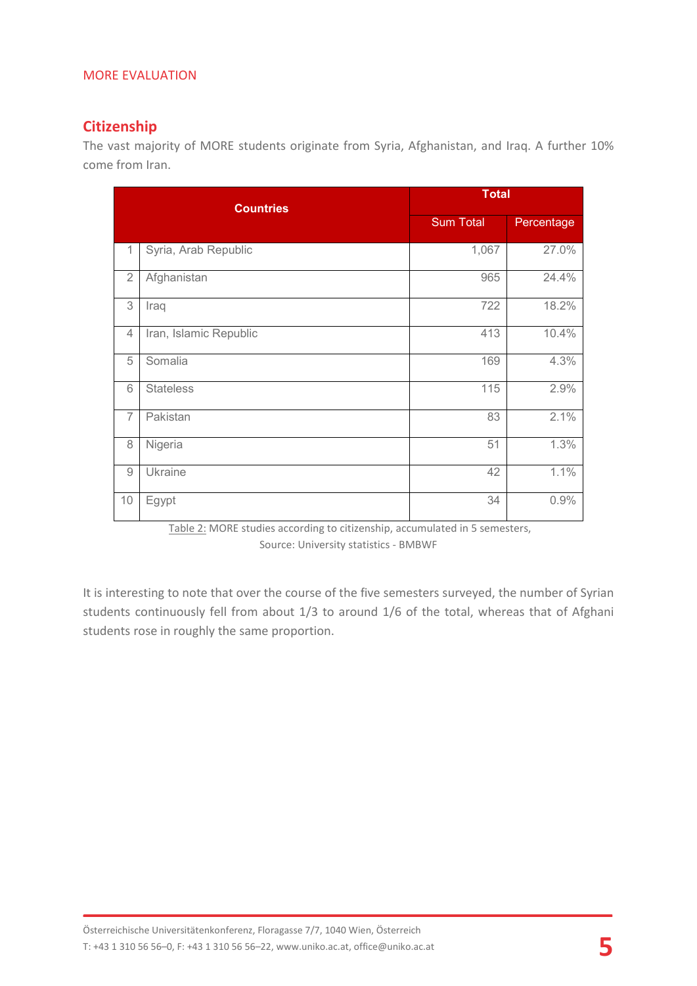## **Citizenship**

The vast majority of MORE students originate from Syria, Afghanistan, and Iraq. A further 10% come from Iran.

| <b>Countries</b> |                        | <b>Total</b>     |            |  |  |
|------------------|------------------------|------------------|------------|--|--|
|                  |                        | <b>Sum Total</b> | Percentage |  |  |
| 1                | Syria, Arab Republic   | 1,067            | 27.0%      |  |  |
| $\overline{2}$   | Afghanistan            | 965              | 24.4%      |  |  |
| 3                | Iraq                   | 722              | 18.2%      |  |  |
| 4                | Iran, Islamic Republic | 413              | 10.4%      |  |  |
| 5                | Somalia                | 169              | 4.3%       |  |  |
| 6                | <b>Stateless</b>       | 115              | 2.9%       |  |  |
| $\overline{7}$   | Pakistan               | 83               | 2.1%       |  |  |
| 8                | Nigeria                | 51               | 1.3%       |  |  |
| $\hbox{9}$       | Ukraine                | 42               | 1.1%       |  |  |
| 10               | Egypt                  | 34               | 0.9%       |  |  |

Table 2: MORE studies according to citizenship, accumulated in 5 semesters, Source: University statistics - BMBWF

It is interesting to note that over the course of the five semesters surveyed, the number of Syrian students continuously fell from about 1/3 to around 1/6 of the total, whereas that of Afghani students rose in roughly the same proportion.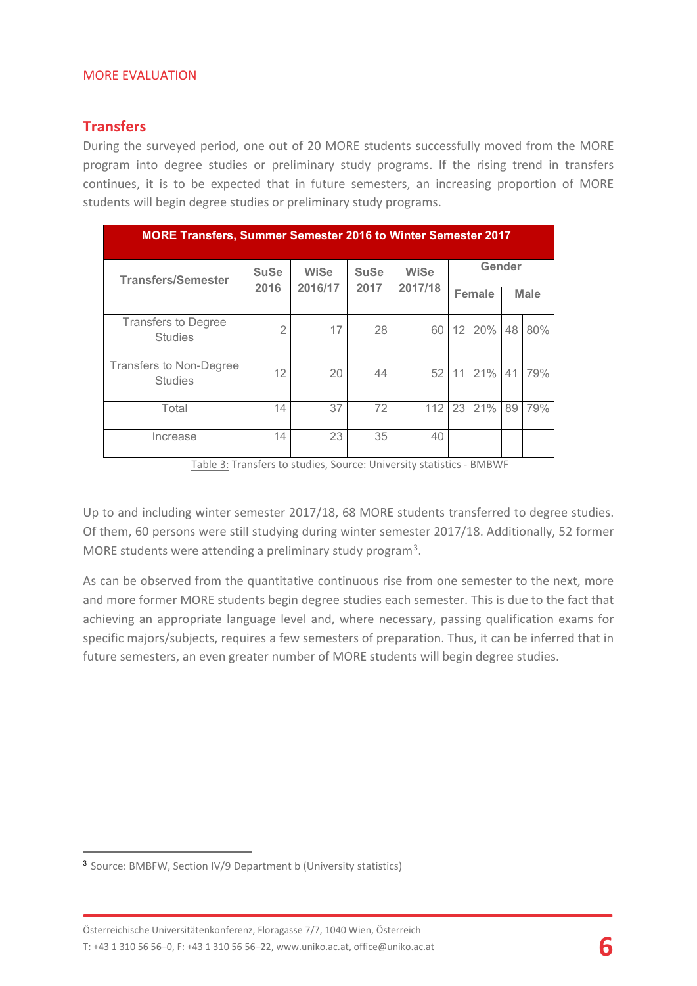## **Transfers**

During the surveyed period, one out of 20 MORE students successfully moved from the MORE program into degree studies or preliminary study programs. If the rising trend in transfers continues, it is to be expected that in future semesters, an increasing proportion of MORE students will begin degree studies or preliminary study programs.

| <b>MORE Transfers, Summer Semester 2016 to Winter Semester 2017</b> |                     |                        |                     |                        |               |     |             |     |
|---------------------------------------------------------------------|---------------------|------------------------|---------------------|------------------------|---------------|-----|-------------|-----|
| <b>Transfers/Semester</b>                                           | <b>SuSe</b><br>2016 | <b>WiSe</b><br>2016/17 | <b>SuSe</b><br>2017 | <b>WiSe</b><br>2017/18 | Gender        |     |             |     |
|                                                                     |                     |                        |                     |                        | <b>Female</b> |     | <b>Male</b> |     |
| <b>Transfers to Degree</b><br><b>Studies</b>                        | $\overline{2}$      | 17                     | 28                  | 60                     | 12            | 20% | 48          | 80% |
| Transfers to Non-Degree<br><b>Studies</b>                           | 12                  | 20                     | 44                  | 52                     | 11            | 21% | 41          | 79% |
| Total                                                               | 14                  | 37                     | 72                  | 112                    | 23            | 21% | 89          | 79% |
| Increase                                                            | 14                  | 23                     | 35                  | 40                     |               |     |             |     |

Table 3: Transfers to studies, Source: University statistics - BMBWF

Up to and including winter semester 2017/18, 68 MORE students transferred to degree studies. Of them, 60 persons were still studying during winter semester 2017/18. Additionally, 52 former MORE students were attending a preliminary study program<sup>[3](#page-5-0)</sup>.

As can be observed from the quantitative continuous rise from one semester to the next, more and more former MORE students begin degree studies each semester. This is due to the fact that achieving an appropriate language level and, where necessary, passing qualification exams for specific majors/subjects, requires a few semesters of preparation. Thus, it can be inferred that in future semesters, an even greater number of MORE students will begin degree studies.

 $\overline{a}$ 

<span id="page-5-0"></span><sup>3</sup> Source: BMBFW, Section IV/9 Department b (University statistics)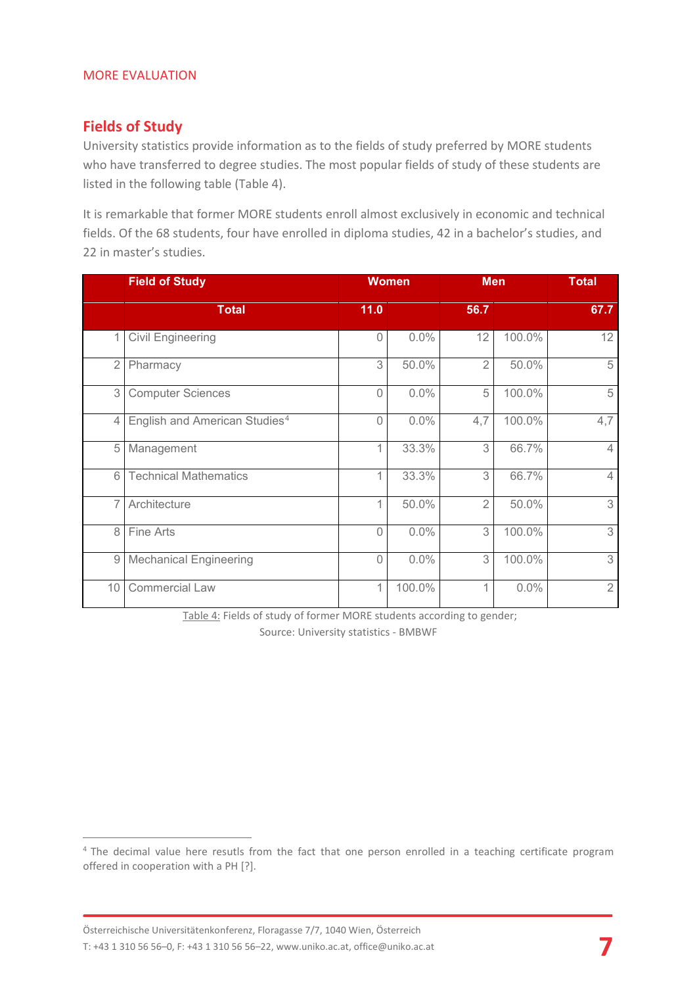## **Fields of Study**

University statistics provide information as to the fields of study preferred by MORE students who have transferred to degree studies. The most popular fields of study of these students are listed in the following table (Table 4).

It is remarkable that former MORE students enroll almost exclusively in economic and technical fields. Of the 68 students, four have enrolled in diploma studies, 42 in a bachelor's studies, and 22 in master's studies.

|                | <b>Field of Study</b>                     | <b>Women</b> |        | <b>Men</b>     | <b>Total</b> |                |
|----------------|-------------------------------------------|--------------|--------|----------------|--------------|----------------|
|                | <b>Total</b>                              | 11.0         |        | 56.7           |              | 67.7           |
| 1              | <b>Civil Engineering</b>                  | $\Omega$     | 0.0%   | 12             | 100.0%       | 12             |
| $\overline{2}$ | Pharmacy                                  | 3            | 50.0%  | $\overline{2}$ | 50.0%        | 5              |
| 3 <sup>1</sup> | <b>Computer Sciences</b>                  | $\bigcap$    | 0.0%   | 5              | 100.0%       | 5              |
| $\overline{4}$ | English and American Studies <sup>4</sup> | $\Omega$     | 0.0%   | 4,7            | 100.0%       | 4,7            |
| 5              | Management                                |              | 33.3%  | 3              | 66.7%        | $\overline{4}$ |
| 6              | <b>Technical Mathematics</b>              | 1            | 33.3%  | 3              | 66.7%        | $\overline{4}$ |
| 7 <sup>1</sup> | Architecture                              | 1            | 50.0%  | $\overline{2}$ | 50.0%        | 3              |
| 8              | Fine Arts                                 | $\bigcap$    | 0.0%   | 3              | 100.0%       | 3              |
| 9              | <b>Mechanical Engineering</b>             | $\bigcap$    | 0.0%   | 3              | 100.0%       | 3              |
| 10             | <b>Commercial Law</b>                     | 1            | 100.0% | 1              | 0.0%         | $\overline{2}$ |

Table 4: Fields of study of former MORE students according to gender; Source: University statistics - BMBWF

<span id="page-6-0"></span><sup>&</sup>lt;sup>4</sup> The decimal value here resutls from the fact that one person enrolled in a teaching certificate program offered in cooperation with a PH [?].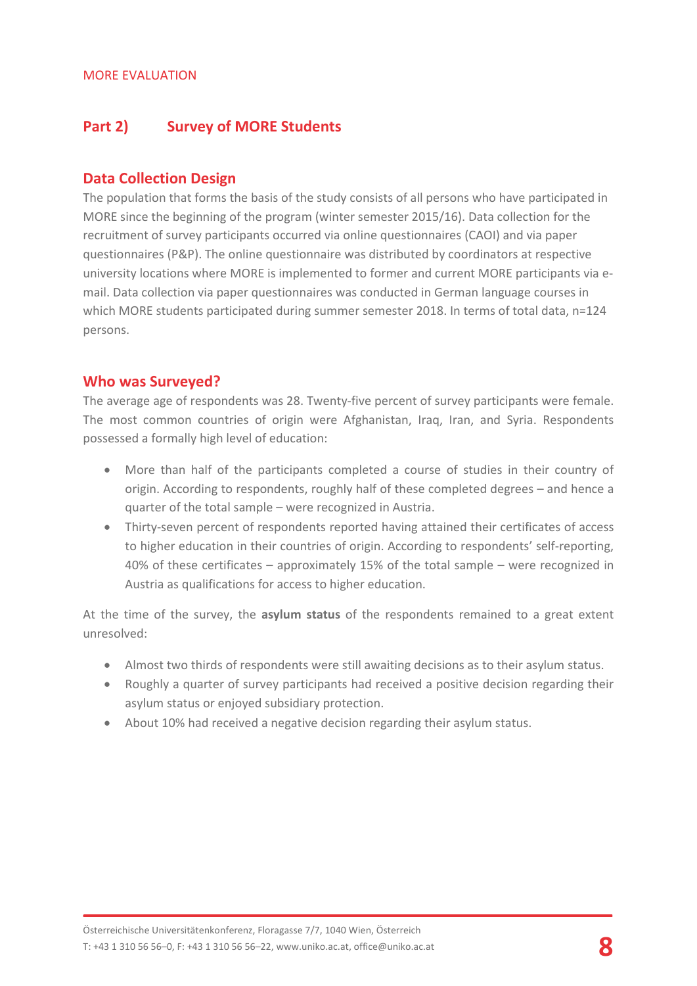## **Part 2) Survey of MORE Students**

## **Data Collection Design**

The population that forms the basis of the study consists of all persons who have participated in MORE since the beginning of the program (winter semester 2015/16). Data collection for the recruitment of survey participants occurred via online questionnaires (CAOI) and via paper questionnaires (P&P). The online questionnaire was distributed by coordinators at respective university locations where MORE is implemented to former and current MORE participants via email. Data collection via paper questionnaires was conducted in German language courses in which MORE students participated during summer semester 2018. In terms of total data, n=124 persons.

## **Who was Surveyed?**

The average age of respondents was 28. Twenty-five percent of survey participants were female. The most common countries of origin were Afghanistan, Iraq, Iran, and Syria. Respondents possessed a formally high level of education:

- More than half of the participants completed a course of studies in their country of origin. According to respondents, roughly half of these completed degrees – and hence a quarter of the total sample – were recognized in Austria.
- Thirty-seven percent of respondents reported having attained their certificates of access to higher education in their countries of origin. According to respondents' self-reporting, 40% of these certificates – approximately 15% of the total sample – were recognized in Austria as qualifications for access to higher education.

At the time of the survey, the **asylum status** of the respondents remained to a great extent unresolved:

- Almost two thirds of respondents were still awaiting decisions as to their asylum status.
- Roughly a quarter of survey participants had received a positive decision regarding their asylum status or enjoyed subsidiary protection.
- About 10% had received a negative decision regarding their asylum status.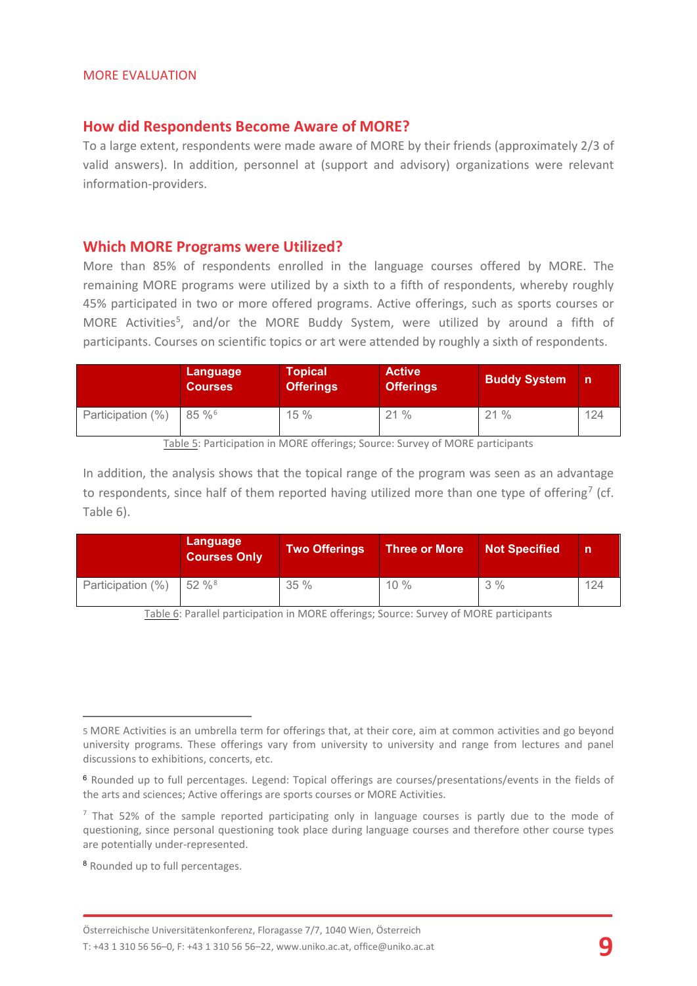#### **How did Respondents Become Aware of MORE?**

To a large extent, respondents were made aware of MORE by their friends (approximately 2/3 of valid answers). In addition, personnel at (support and advisory) organizations were relevant information-providers.

#### **Which MORE Programs were Utilized?**

More than 85% of respondents enrolled in the language courses offered by MORE. The remaining MORE programs were utilized by a sixth to a fifth of respondents, whereby roughly 45% participated in two or more offered programs. Active offerings, such as sports courses or MORE Activities<sup>5</sup>, and/or the MORE Buddy System, were utilized by around a fifth of participants. Courses on scientific topics or art were attended by roughly a sixth of respondents.

|                   | Language<br><b>Courses</b> | Topical \<br><b>Offerings</b> | <b>Active</b><br><b>Offerings</b> | <b>Buddy System</b> | n   |
|-------------------|----------------------------|-------------------------------|-----------------------------------|---------------------|-----|
| Participation (%) | $85\%$ <sup>6</sup>        | 15%                           | 21%                               | 21%                 | 124 |

Table 5: Participation in MORE offerings; Source: Survey of MORE participants

In addition, the analysis shows that the topical range of the program was seen as an advantage to respondents, since half of them reported having utilized more than one type of offering<sup>[7](#page-8-2)</sup> (cf. Table 6).

|                   | Language<br><b>Courses Only</b> | Two Offerings | Three or More | <b>Not Specified</b> | n   |
|-------------------|---------------------------------|---------------|---------------|----------------------|-----|
| Participation (%) | $52 \%$ <sup>8</sup>            | 35%           | $10\%$        | 3%                   | 124 |

Table 6: Parallel participation in MORE offerings; Source: Survey of MORE participants

 $\overline{a}$ 

<span id="page-8-0"></span><sup>5</sup> MORE Activities is an umbrella term for offerings that, at their core, aim at common activities and go beyond university programs. These offerings vary from university to university and range from lectures and panel discussions to exhibitions, concerts, etc.

<span id="page-8-1"></span><sup>6</sup> Rounded up to full percentages. Legend: Topical offerings are courses/presentations/events in the fields of the arts and sciences; Active offerings are sports courses or MORE Activities.

<span id="page-8-2"></span> $<sup>7</sup>$  That 52% of the sample reported participating only in language courses is partly due to the mode of</sup> questioning, since personal questioning took place during language courses and therefore other course types are potentially under-represented.

<span id="page-8-3"></span><sup>8</sup> Rounded up to full percentages.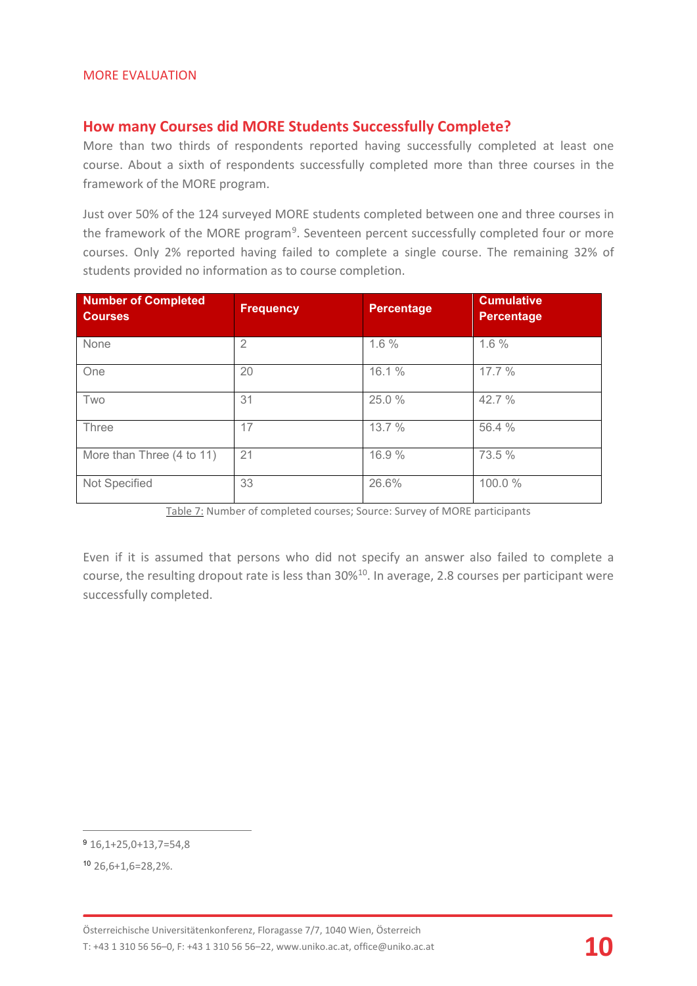## **How many Courses did MORE Students Successfully Complete?**

More than two thirds of respondents reported having successfully completed at least one course. About a sixth of respondents successfully completed more than three courses in the framework of the MORE program.

Just over 50% of the 124 surveyed MORE students completed between one and three courses in the framework of the MORE program<sup>[9](#page-9-0)</sup>. Seventeen percent successfully completed four or more courses. Only 2% reported having failed to complete a single course. The remaining 32% of students provided no information as to course completion.

| <b>Number of Completed</b><br><b>Courses</b> | <b>Frequency</b> | Percentage | <b>Cumulative</b><br>Percentage |
|----------------------------------------------|------------------|------------|---------------------------------|
| None                                         | $\overline{2}$   | 1.6%       | 1.6%                            |
| One                                          | 20               | 16.1 %     | 17.7%                           |
| Two                                          | 31               | 25.0 %     | 42.7 %                          |
| Three                                        | 17               | 13.7 %     | 56.4 %                          |
| More than Three (4 to 11)                    | 21               | 16.9 %     | 73.5 %                          |
| Not Specified                                | 33               | 26.6%      | 100.0%                          |

Table 7: Number of completed courses; Source: Survey of MORE participants

Even if it is assumed that persons who did not specify an answer also failed to complete a course, the resulting dropout rate is less than 30%[10.](#page-9-1) In average, 2.8 courses per participant were successfully completed.

 $\overline{a}$ 

<span id="page-9-0"></span><sup>9</sup> 16,1+25,0+13,7=54,8

<span id="page-9-1"></span><sup>10</sup> 26,6+1,6=28,2%.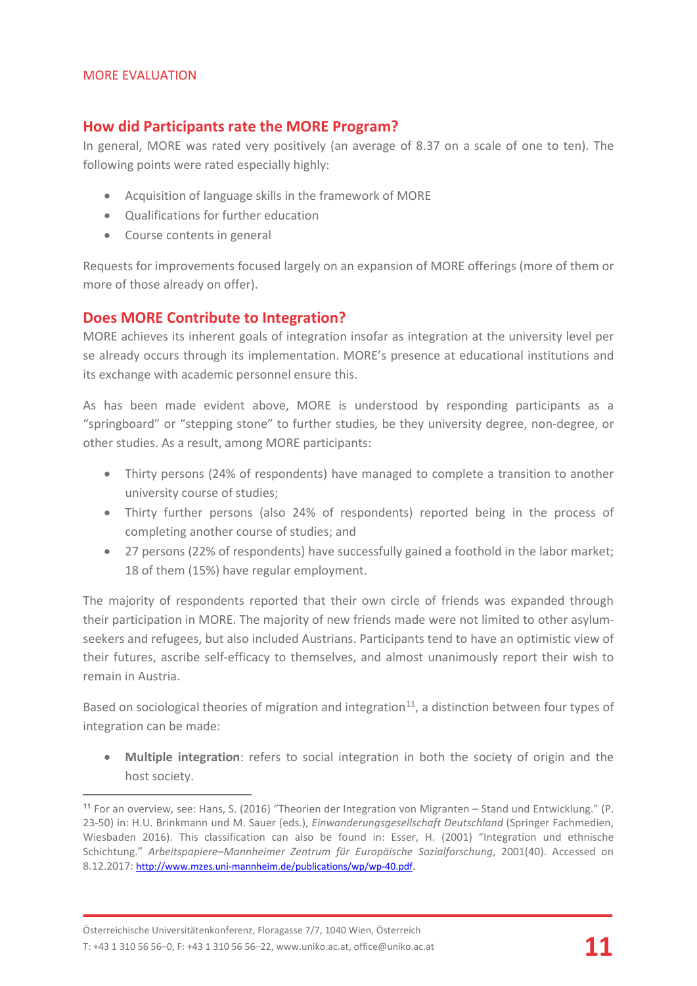$\overline{a}$ 

## **How did Participants rate the MORE Program?**

In general, MORE was rated very positively (an average of 8.37 on a scale of one to ten). The following points were rated especially highly:

- Acquisition of language skills in the framework of MORE
- Qualifications for further education
- Course contents in general

Requests for improvements focused largely on an expansion of MORE offerings (more of them or more of those already on offer).

## **Does MORE Contribute to Integration?**

MORE achieves its inherent goals of integration insofar as integration at the university level per se already occurs through its implementation. MORE's presence at educational institutions and its exchange with academic personnel ensure this.

As has been made evident above, MORE is understood by responding participants as a "springboard" or "stepping stone" to further studies, be they university degree, non-degree, or other studies. As a result, among MORE participants:

- Thirty persons (24% of respondents) have managed to complete a transition to another university course of studies;
- Thirty further persons (also 24% of respondents) reported being in the process of completing another course of studies; and
- 27 persons (22% of respondents) have successfully gained a foothold in the labor market; 18 of them (15%) have regular employment.

The majority of respondents reported that their own circle of friends was expanded through their participation in MORE. The majority of new friends made were not limited to other asylumseekers and refugees, but also included Austrians. Participants tend to have an optimistic view of their futures, ascribe self-efficacy to themselves, and almost unanimously report their wish to remain in Austria.

Based on sociological theories of migration and integration<sup>11</sup>, a distinction between four types of integration can be made:

• **Multiple integration**: refers to social integration in both the society of origin and the host society.

<span id="page-10-0"></span><sup>11</sup> For an overview, see: Hans, S. (2016) "Theorien der Integration von Migranten – Stand und Entwicklung." (P. 23-50) in: H.U. Brinkmann und M. Sauer (eds.), *Einwanderungsgesellschaft Deutschland* (Springer Fachmedien, Wiesbaden 2016). This classification can also be found in: Esser, H. (2001) "Integration und ethnische Schichtung." *Arbeitspapiere–Mannheimer Zentrum für Europäische Sozialforschung*, 2001(40). Accessed on 8.12.2017: <http://www.mzes.uni-mannheim.de/publications/wp/wp-40.pdf>.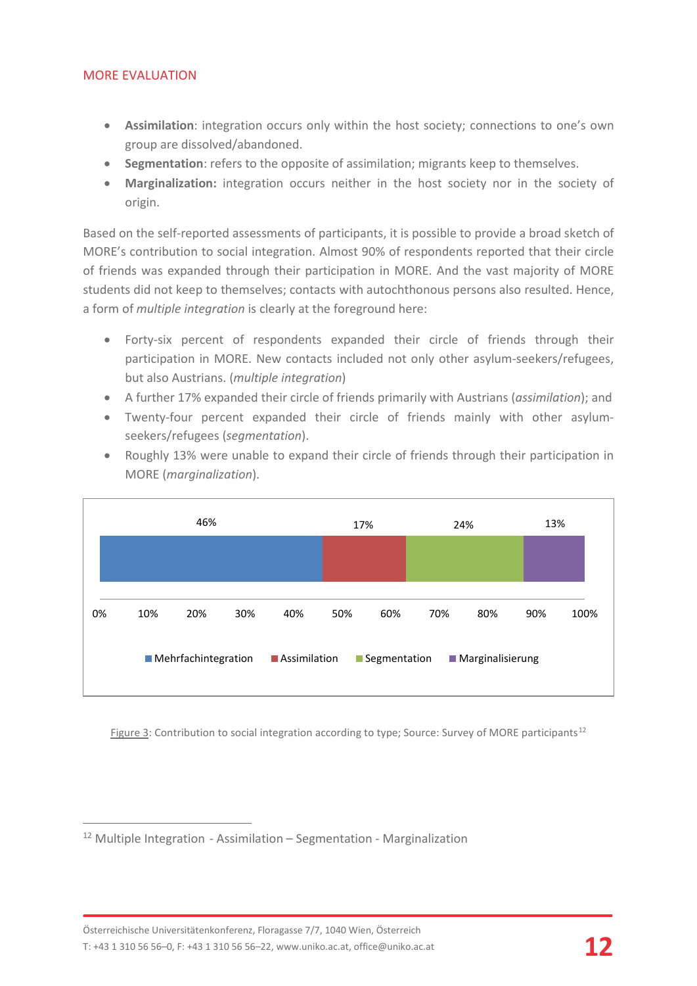- **Assimilation**: integration occurs only within the host society; connections to one's own group are dissolved/abandoned.
- **Segmentation**: refers to the opposite of assimilation; migrants keep to themselves.
- **Marginalization:** integration occurs neither in the host society nor in the society of origin.

Based on the self-reported assessments of participants, it is possible to provide a broad sketch of MORE's contribution to social integration. Almost 90% of respondents reported that their circle of friends was expanded through their participation in MORE. And the vast majority of MORE students did not keep to themselves; contacts with autochthonous persons also resulted. Hence, a form of *multiple integration* is clearly at the foreground here:

- Forty-six percent of respondents expanded their circle of friends through their participation in MORE. New contacts included not only other asylum-seekers/refugees, but also Austrians. (*multiple integration*)
- A further 17% expanded their circle of friends primarily with Austrians (*assimilation*); and
- Twenty-four percent expanded their circle of friends mainly with other asylumseekers/refugees (*segmentation*).
- Roughly 13% were unable to expand their circle of friends through their participation in MORE (*marginalization*).



Figure 3: Contribution to social integration according to type; Source: Survey of MORE participants<sup>[12](#page-11-0)</sup>

<span id="page-11-0"></span> <sup>12</sup> Multiple Integration - Assimilation – Segmentation - Marginalization